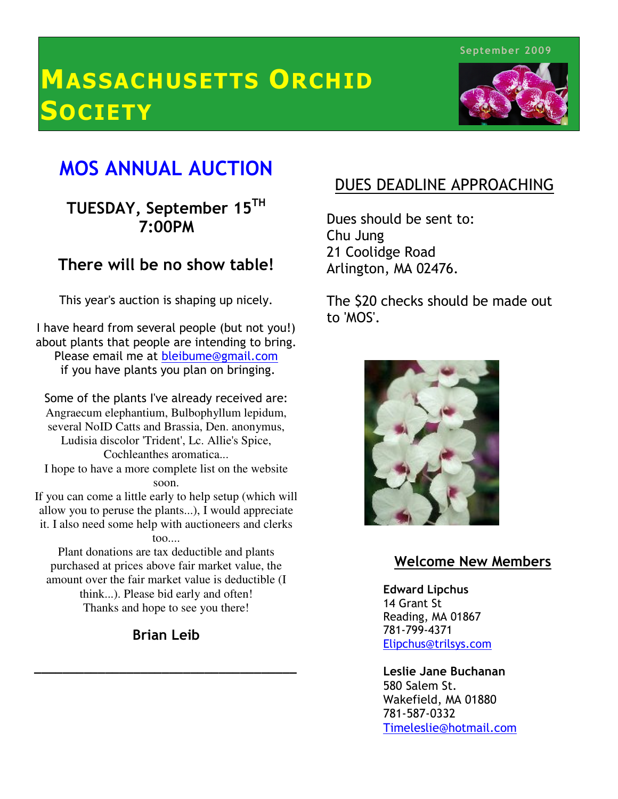September 2009

# MASSACHUSETTS ORCHID **SOCIETY**



## MOS ANNUAL AUCTION

### $\overline{a}$  TUESDAY, September 15TH 7:00PM

## There will be no show table!

This year's auction is shaping up nicely.

 I have heard from several people (but not you!) at plants that people are intending to bit<br>Please email me at <u>bleibume@gmail.com</u> if you have plants you plan on bringing. about plants that people are intending to bring.

ľ several NoID Catts and Brassia, Den. anonymus, Some of the plants I've already received are: Angraecum elephantium, Bulbophyllum lepidum, Ludisia discolor 'Trident', Lc. Allie's Spice, Cochleanthes aromatica... I hope to have a more complete list on the website soon. If you can come a little early to help setup (which will

allow you to peruse the plants...), I would appreciate it. I also need some help with auctioneers and clerks too....

Plant donations are tax deductible and plants purchased at prices above fair market value, the amount over the fair market value is deductible (I think...). Please bid early and often! Thanks and hope to see you there!

Brian Leib

\_\_\_\_\_\_\_\_\_\_\_\_\_\_\_\_\_\_\_\_\_\_\_\_\_\_\_\_\_\_\_\_\_\_\_\_\_

### DUES DEADLINE APPROACHING

Dues should be sent to: Chu Jung 21 Coolidge Road Arlington, MA 02476.

The \$20 checks should be made out to 'MOS'.



### Welcome New Members

Edward Lipchus 14 Grant St Reading, MA 01867 781-799-4371 Elipchus@trilsys.com

Leslie Jane Buchanan 580 Salem St. Wakefield, MA 01880 781-587-0332 Timeleslie@hotmail.com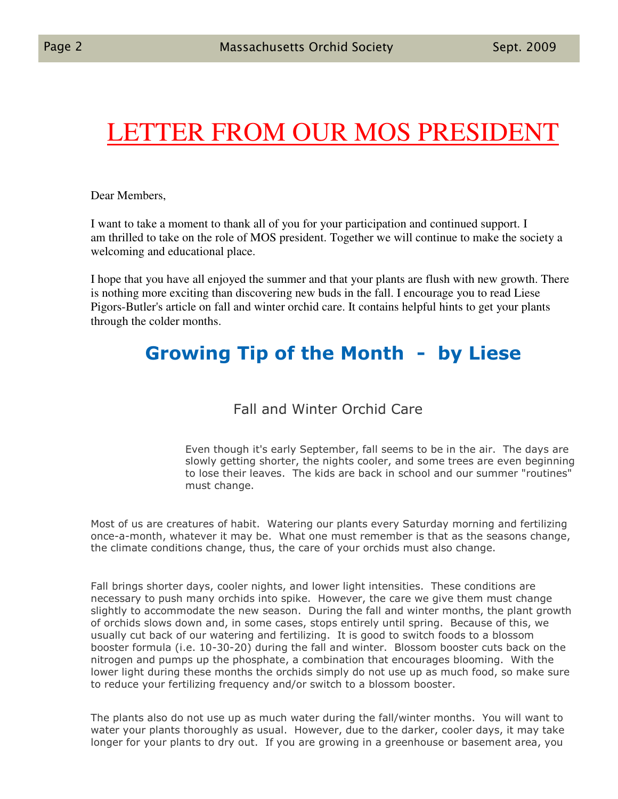# LETTER FROM OUR MOS PRESIDENT

Dear Members,

I want to take a moment to thank all of you for your participation and continued support. I am thrilled to take on the role of MOS president. Together we will continue to make the society a welcoming and educational place.

I hope that you have all enjoyed the summer and that your plants are flush with new growth. There is nothing more exciting than discovering new buds in the fall. I encourage you to read Liese Pigors-Butler's article on fall and winter orchid care. It contains helpful hints to get your plants through the colder months.

## Growing Tip of the Month - by Liese

Fall and Winter Orchid Care

Even though it's early September, fall seems to be in the air. The days are slowly getting shorter, the nights cooler, and some trees are even beginning to lose their leaves. The kids are back in school and our summer "routines" must change.

Most of us are creatures of habit. Watering our plants every Saturday morning and fertilizing once-a-month, whatever it may be. What one must remember is that as the seasons change, the climate conditions change, thus, the care of your orchids must also change.

Fall brings shorter days, cooler nights, and lower light intensities. These conditions are necessary to push many orchids into spike. However, the care we give them must change slightly to accommodate the new season. During the fall and winter months, the plant growth of orchids slows down and, in some cases, stops entirely until spring. Because of this, we usually cut back of our watering and fertilizing. It is good to switch foods to a blossom booster formula (i.e. 10-30-20) during the fall and winter. Blossom booster cuts back on the nitrogen and pumps up the phosphate, a combination that encourages blooming. With the lower light during these months the orchids simply do not use up as much food, so make sure to reduce your fertilizing frequency and/or switch to a blossom booster.

The plants also do not use up as much water during the fall/winter months. You will want to water your plants thoroughly as usual. However, due to the darker, cooler days, it may take longer for your plants to dry out. If you are growing in a greenhouse or basement area, you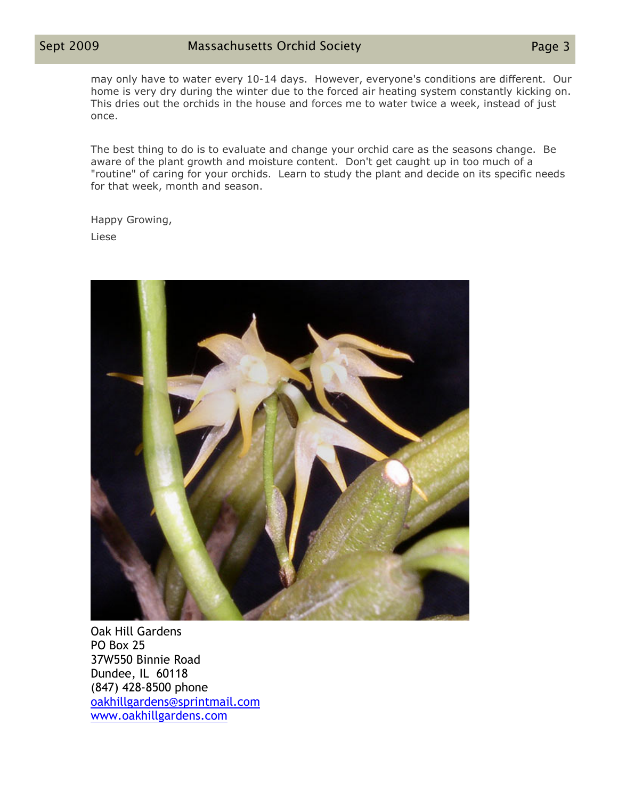may only have to water every 10-14 days. However, everyone's conditions are different. Our home is very dry during the winter due to the forced air heating system constantly kicking on. This dries out the orchids in the house and forces me to water twice a week, instead of just once.

The best thing to do is to evaluate and change your orchid care as the seasons change. Be aware of the plant growth and moisture content. Don't get caught up in too much of a "routine" of caring for your orchids. Learn to study the plant and decide on its specific needs for that week, month and season.

Happy Growing,

Liese



Oak Hill Gardens PO Box 25 37W550 Binnie Road Dundee, IL 60118 (847) 428-8500 phone oakhillgardens@sprintmail.com www.oakhillgardens.com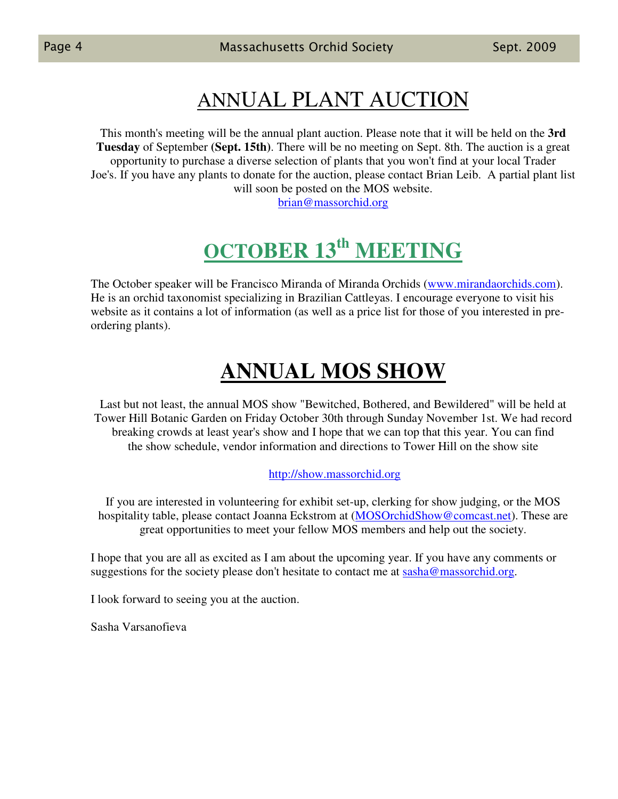## ANNUAL PLANT AUCTION

This month's meeting will be the annual plant auction. Please note that it will be held on the **3rd Tuesday** of September **(Sept. 15th)**. There will be no meeting on Sept. 8th. The auction is a great opportunity to purchase a diverse selection of plants that you won't find at your local Trader Joe's. If you have any plants to donate for the auction, please contact Brian Leib. A partial plant list will soon be posted on the MOS website.

brian@massorchid.org

## **OCTOBER 13th MEETING**

The October speaker will be Francisco Miranda of Miranda Orchids (www.mirandaorchids.com). He is an orchid taxonomist specializing in Brazilian Cattleyas. I encourage everyone to visit his website as it contains a lot of information (as well as a price list for those of you interested in preordering plants).

## **ANNUAL MOS SHOW**

Last but not least, the annual MOS show "Bewitched, Bothered, and Bewildered" will be held at Tower Hill Botanic Garden on Friday October 30th through Sunday November 1st. We had record breaking crowds at least year's show and I hope that we can top that this year. You can find the show schedule, vendor information and directions to Tower Hill on the show site

### http://show.massorchid.org

If you are interested in volunteering for exhibit set-up, clerking for show judging, or the MOS hospitality table, please contact Joanna Eckstrom at (MOSOrchidShow@comcast.net). These are great opportunities to meet your fellow MOS members and help out the society.

I hope that you are all as excited as I am about the upcoming year. If you have any comments or suggestions for the society please don't hesitate to contact me at sasha@massorchid.org.

I look forward to seeing you at the auction.

Sasha Varsanofieva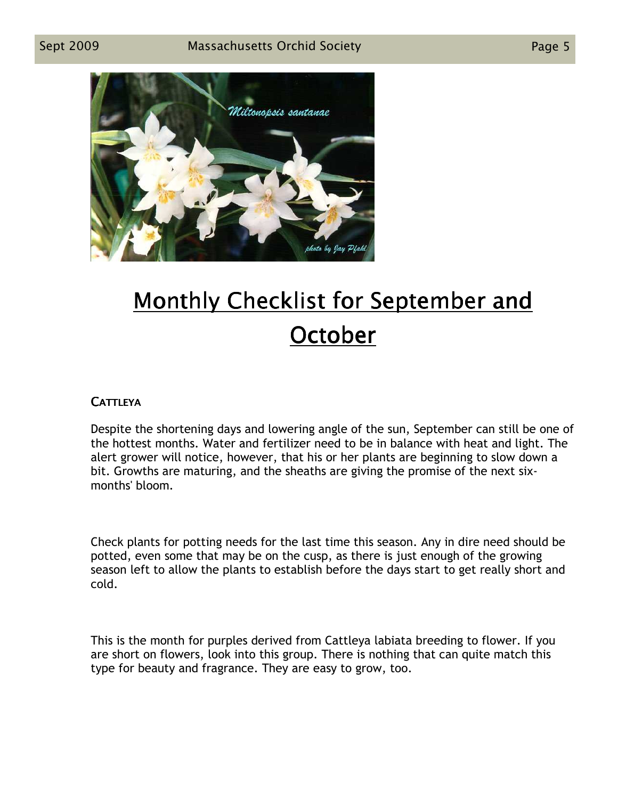

# Monthly Checklist for September and **October**

### **CATTLEYA**

Despite the shortening days and lowering angle of the sun, September can still be one of the hottest months. Water and fertilizer need to be in balance with heat and light. The alert grower will notice, however, that his or her plants are beginning to slow down a bit. Growths are maturing, and the sheaths are giving the promise of the next sixmonths' bloom.

Check plants for potting needs for the last time this season. Any in dire need should be potted, even some that may be on the cusp, as there is just enough of the growing season left to allow the plants to establish before the days start to get really short and cold.

This is the month for purples derived from Cattleya labiata breeding to flower. If you are short on flowers, look into this group. There is nothing that can quite match this type for beauty and fragrance. They are easy to grow, too.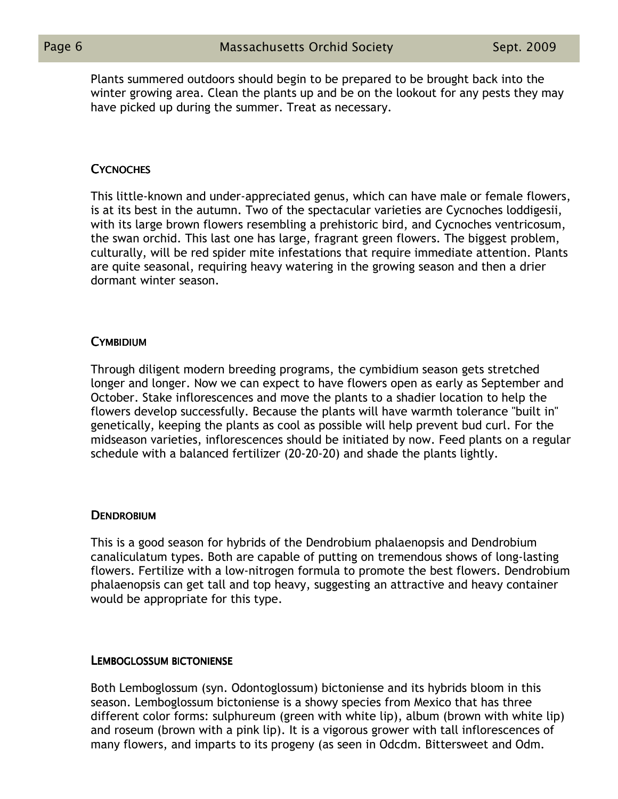Plants summered outdoors should begin to be prepared to be brought back into the winter growing area. Clean the plants up and be on the lookout for any pests they may have picked up during the summer. Treat as necessary.

### **CYCNOCHES**

This little-known and under-appreciated genus, which can have male or female flowers, is at its best in the autumn. Two of the spectacular varieties are Cycnoches loddigesii, with its large brown flowers resembling a prehistoric bird, and Cycnoches ventricosum, the swan orchid. This last one has large, fragrant green flowers. The biggest problem, culturally, will be red spider mite infestations that require immediate attention. Plants are quite seasonal, requiring heavy watering in the growing season and then a drier dormant winter season.

### **CYMBIDIUM**

Through diligent modern breeding programs, the cymbidium season gets stretched longer and longer. Now we can expect to have flowers open as early as September and October. Stake inflorescences and move the plants to a shadier location to help the flowers develop successfully. Because the plants will have warmth tolerance "built in" genetically, keeping the plants as cool as possible will help prevent bud curl. For the midseason varieties, inflorescences should be initiated by now. Feed plants on a regular schedule with a balanced fertilizer (20-20-20) and shade the plants lightly.

### **DENDROBIUM**

This is a good season for hybrids of the Dendrobium phalaenopsis and Dendrobium canaliculatum types. Both are capable of putting on tremendous shows of long-lasting flowers. Fertilize with a low-nitrogen formula to promote the best flowers. Dendrobium phalaenopsis can get tall and top heavy, suggesting an attractive and heavy container would be appropriate for this type.

### LEMBOGLOSSUM BICTONIENSE

Both Lemboglossum (syn. Odontoglossum) bictoniense and its hybrids bloom in this season. Lemboglossum bictoniense is a showy species from Mexico that has three different color forms: sulphureum (green with white lip), album (brown with white lip) and roseum (brown with a pink lip). It is a vigorous grower with tall inflorescences of many flowers, and imparts to its progeny (as seen in Odcdm. Bittersweet and Odm.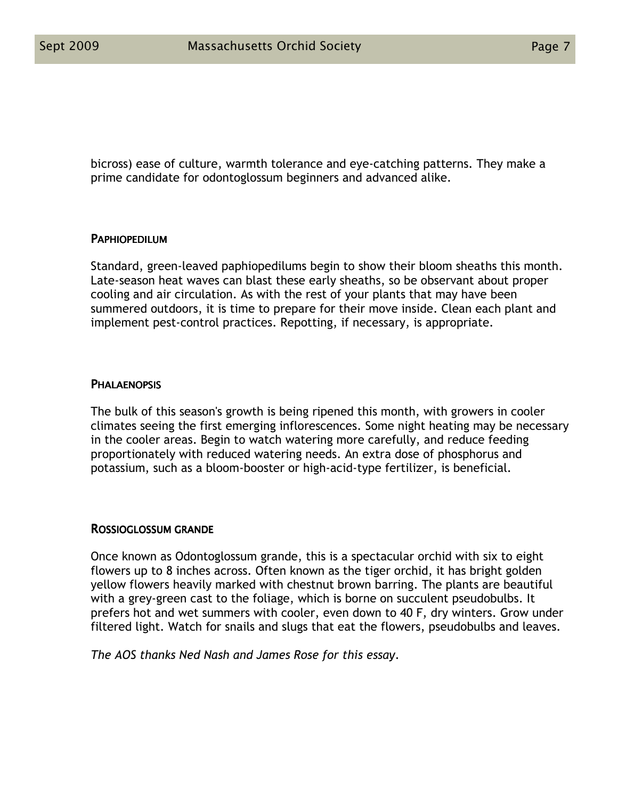bicross) ease of culture, warmth tolerance and eye-catching patterns. They make a prime candidate for odontoglossum beginners and advanced alike.

#### **PAPHIOPEDILUM**

Standard, green-leaved paphiopedilums begin to show their bloom sheaths this month. Late-season heat waves can blast these early sheaths, so be observant about proper cooling and air circulation. As with the rest of your plants that may have been summered outdoors, it is time to prepare for their move inside. Clean each plant and implement pest-control practices. Repotting, if necessary, is appropriate.

### **PHALAENOPSIS**

The bulk of this season's growth is being ripened this month, with growers in cooler climates seeing the first emerging inflorescences. Some night heating may be necessary in the cooler areas. Begin to watch watering more carefully, and reduce feeding proportionately with reduced watering needs. An extra dose of phosphorus and potassium, such as a bloom-booster or high-acid-type fertilizer, is beneficial.

#### ROSSIOGLOSSUM GRANDE

Once known as Odontoglossum grande, this is a spectacular orchid with six to eight flowers up to 8 inches across. Often known as the tiger orchid, it has bright golden yellow flowers heavily marked with chestnut brown barring. The plants are beautiful with a grey-green cast to the foliage, which is borne on succulent pseudobulbs. It prefers hot and wet summers with cooler, even down to 40 F, dry winters. Grow under filtered light. Watch for snails and slugs that eat the flowers, pseudobulbs and leaves.

The AOS thanks Ned Nash and James Rose for this essay.